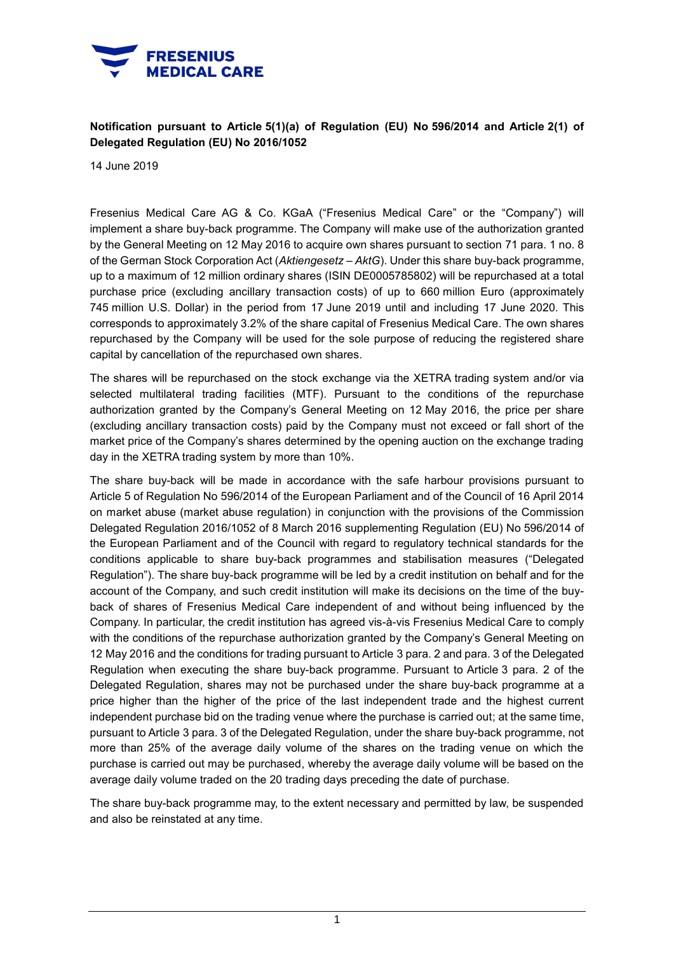

## **Notification pursuant to Article 5(1)(a) of Regulation (EU) No 596/2014 and Article 2(1) of Delegated Regulation (EU) No 2016/1052**

14 June 2019

Fresenius Medical Care AG & Co. KGaA ("Fresenius Medical Care" or the "Company") will implement a share buy-back programme. The Company will make use of the authorization granted by the General Meeting on 12 May 2016 to acquire own shares pursuant to section 71 para. 1 no. 8 of the German Stock Corporation Act (*Aktiengesetz – AktG*). Under this share buy-back programme, up to a maximum of 12 million ordinary shares (ISIN DE0005785802) will be repurchased at a total purchase price (excluding ancillary transaction costs) of up to 660 million Euro (approximately 745 million U.S. Dollar) in the period from 17 June 2019 until and including 17 June 2020. This corresponds to approximately 3.2% of the share capital of Fresenius Medical Care. The own shares repurchased by the Company will be used for the sole purpose of reducing the registered share capital by cancellation of the repurchased own shares.

The shares will be repurchased on the stock exchange via the XETRA trading system and/or via selected multilateral trading facilities (MTF). Pursuant to the conditions of the repurchase authorization granted by the Company's General Meeting on 12 May 2016, the price per share (excluding ancillary transaction costs) paid by the Company must not exceed or fall short of the market price of the Company's shares determined by the opening auction on the exchange trading day in the XETRA trading system by more than 10%.

The share buy-back will be made in accordance with the safe harbour provisions pursuant to Article 5 of Regulation No 596/2014 of the European Parliament and of the Council of 16 April 2014 on market abuse (market abuse regulation) in conjunction with the provisions of the Commission Delegated Regulation 2016/1052 of 8 March 2016 supplementing Regulation (EU) No 596/2014 of the European Parliament and of the Council with regard to regulatory technical standards for the conditions applicable to share buy-back programmes and stabilisation measures ("Delegated Regulation"). The share buy-back programme will be led by a credit institution on behalf and for the account of the Company, and such credit institution will make its decisions on the time of the buyback of shares of Fresenius Medical Care independent of and without being influenced by the Company. In particular, the credit institution has agreed vis-à-vis Fresenius Medical Care to comply with the conditions of the repurchase authorization granted by the Company's General Meeting on 12 May 2016 and the conditions for trading pursuant to Article 3 para. 2 and para. 3 of the Delegated Regulation when executing the share buy-back programme. Pursuant to Article 3 para. 2 of the Delegated Regulation, shares may not be purchased under the share buy-back programme at a price higher than the higher of the price of the last independent trade and the highest current independent purchase bid on the trading venue where the purchase is carried out; at the same time, pursuant to Article 3 para. 3 of the Delegated Regulation, under the share buy-back programme, not more than 25% of the average daily volume of the shares on the trading venue on which the purchase is carried out may be purchased, whereby the average daily volume will be based on the average daily volume traded on the 20 trading days preceding the date of purchase.

The share buy-back programme may, to the extent necessary and permitted by law, be suspended and also be reinstated at any time.